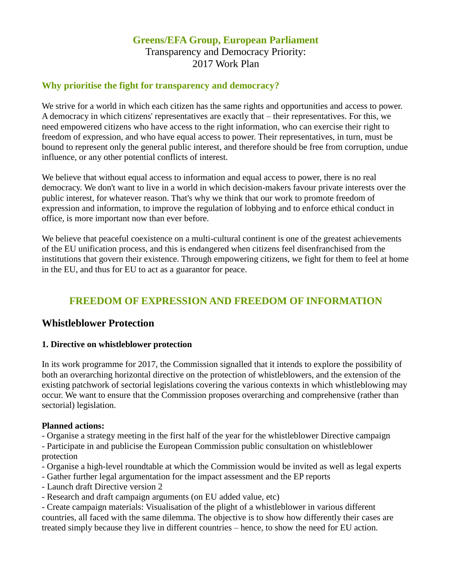### **Greens/EFA Group, European Parliament** Transparency and Democracy Priority: 2017 Work Plan

#### **Why prioritise the fight for transparency and democracy?**

We strive for a world in which each citizen has the same rights and opportunities and access to power. A democracy in which citizens' representatives are exactly that – their representatives. For this, we need empowered citizens who have access to the right information, who can exercise their right to freedom of expression, and who have equal access to power. Their representatives, in turn, must be bound to represent only the general public interest, and therefore should be free from corruption, undue influence, or any other potential conflicts of interest.

We believe that without equal access to information and equal access to power, there is no real democracy. We don't want to live in a world in which decision-makers favour private interests over the public interest, for whatever reason. That's why we think that our work to promote freedom of expression and information, to improve the regulation of lobbying and to enforce ethical conduct in office, is more important now than ever before.

We believe that peaceful coexistence on a multi-cultural continent is one of the greatest achievements of the EU unification process, and this is endangered when citizens feel disenfranchised from the institutions that govern their existence. Through empowering citizens, we fight for them to feel at home in the EU, and thus for EU to act as a guarantor for peace.

## **FREEDOM OF EXPRESSION AND FREEDOM OF INFORMATION**

### **Whistleblower Protection**

#### **1. Directive on whistleblower protection**

In its work programme for 2017, the Commission signalled that it intends to explore the possibility of both an overarching horizontal directive on the protection of whistleblowers, and the extension of the existing patchwork of sectorial legislations covering the various contexts in which whistleblowing may occur. We want to ensure that the Commission proposes overarching and comprehensive (rather than sectorial) legislation.

#### **Planned actions:**

- Organise a strategy meeting in the first half of the year for the whistleblower Directive campaign

- Participate in and publicise the European Commission public consultation on whistleblower protection

- Organise a high-level roundtable at which the Commission would be invited as well as legal experts
- Gather further legal argumentation for the impact assessment and the EP reports
- Launch draft Directive version 2
- Research and draft campaign arguments (on EU added value, etc)

- Create campaign materials: Visualisation of the plight of a whistleblower in various different countries, all faced with the same dilemma. The objective is to show how differently their cases are treated simply because they live in different countries – hence, to show the need for EU action.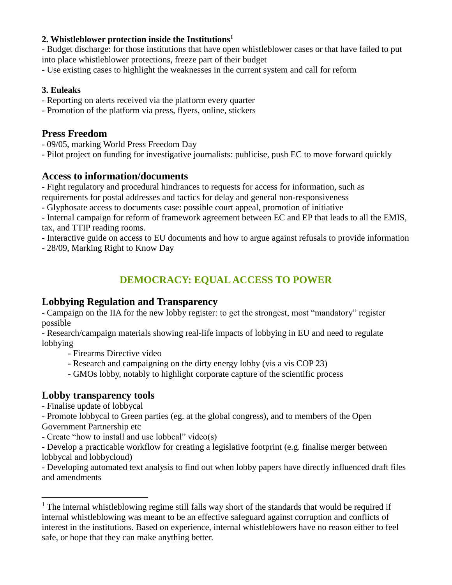#### **2. Whistleblower protection inside the Institutions<sup>1</sup>**

- Budget discharge: for those institutions that have open whistleblower cases or that have failed to put into place whistleblower protections, freeze part of their budget

- Use existing cases to highlight the weaknesses in the current system and call for reform

#### **3. Euleaks**

- Reporting on alerts received via the platform every quarter
- Promotion of the platform via press, flyers, online, stickers

## **Press Freedom**

- 09/05, marking World Press Freedom Day
- Pilot project on funding for investigative journalists: publicise, push EC to move forward quickly

## **Access to information/documents**

- Fight regulatory and procedural hindrances to requests for access for information, such as requirements for postal addresses and tactics for delay and general non-responsiveness

- Glyphosate access to documents case: possible court appeal, promotion of initiative

- Internal campaign for reform of framework agreement between EC and EP that leads to all the EMIS, tax, and TTIP reading rooms.

- Interactive guide on access to EU documents and how to argue against refusals to provide information

- 28/09, Marking Right to Know Day

# **DEMOCRACY: EQUAL ACCESS TO POWER**

## **Lobbying Regulation and Transparency**

- Campaign on the IIA for the new lobby register: to get the strongest, most "mandatory" register possible

- Research/campaign materials showing real-life impacts of lobbying in EU and need to regulate lobbying

- Firearms Directive video

- Research and campaigning on the dirty energy lobby (vis a vis COP 23)

- GMOs lobby, notably to highlight corporate capture of the scientific process

## **Lobby transparency tools**

- Finalise update of lobbycal

 $\overline{a}$ 

- Promote lobbycal to Green parties (eg. at the global congress), and to members of the Open Government Partnership etc

- Create "how to install and use lobbcal" video(s)

- Develop a practicable workflow for creating a legislative footprint (e.g. finalise merger between lobbycal and lobbycloud)

- Developing automated text analysis to find out when lobby papers have directly influenced draft files and amendments

 $<sup>1</sup>$  The internal whistleblowing regime still falls way short of the standards that would be required if</sup> internal whistleblowing was meant to be an effective safeguard against corruption and conflicts of interest in the institutions. Based on experience, internal whistleblowers have no reason either to feel safe, or hope that they can make anything better.